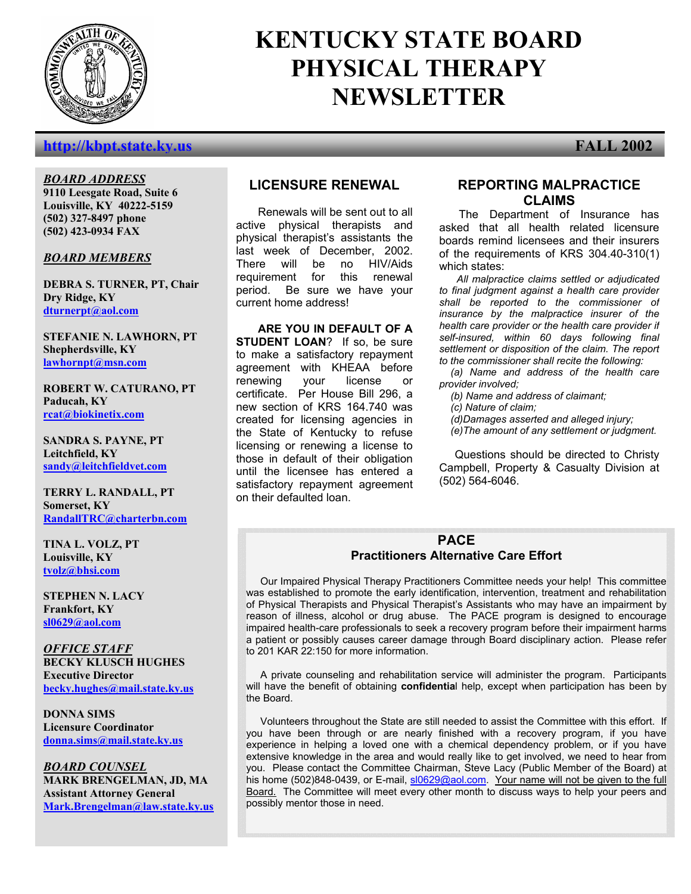

# **KENTUCKY STATE BOARD PHYSICAL THERAPY NEWSLETTER**

## **http://kbpt.state.ky.us FALL 2002**

#### *BOARD ADDRESS*

**9110 Leesgate Road, Suite 6 Louisville, KY 40222-5159 (502) 327-8497 phone (502) 423-0934 FAX** 

#### *BOARD MEMBERS*

**DEBRA S. TURNER, PT, Chair Dry Ridge, KY dturnerpt@aol.com**

**STEFANIE N. LAWHORN, PT Shepherdsville, KY lawhornpt@msn.com**

**ROBERT W. CATURANO, PT Paducah, KY rcat@biokinetix.com**

**SANDRA S. PAYNE, PT Leitchfield, KY sandy@leitchfieldvet.com**

**TERRY L. RANDALL, PT Somerset, KY RandallTRC@charterbn.com**

**TINA L. VOLZ, PT Louisville, KY tvolz@bhsi.com**

**STEPHEN N. LACY Frankfort, KY sl0629@aol.com**

*OFFICE STAFF* **BECKY KLUSCH HUGHES Executive Director becky.hughes@mail.state.ky.us**

**DONNA SIMS Licensure Coordinator donna.sims@mail.state.ky.us**

*BOARD COUNSEL* **MARK BRENGELMAN, JD, MA Assistant Attorney General Mark.Brengelman@law.state.ky.us**

### **LICENSURE RENEWAL**

 Renewals will be sent out to all active physical therapists and physical therapist's assistants the last week of December, 2002. There will be no HIV/Aids requirement for this renewal period. Be sure we have your current home address!

 **ARE YOU IN DEFAULT OF A STUDENT LOAN?** If so, be sure to make a satisfactory repayment agreement with KHEAA before renewing your license or certificate. Per House Bill 296, a new section of KRS 164.740 was created for licensing agencies in the State of Kentucky to refuse licensing or renewing a license to those in default of their obligation until the licensee has entered a satisfactory repayment agreement on their defaulted loan.

### **REPORTING MALPRACTICE CLAIMS**

The Department of Insurance has asked that all health related licensure boards remind licensees and their insurers of the requirements of KRS 304.40-310(1) which states:

 *All malpractice claims settled or adjudicated to final judgment against a health care provider shall be reported to the commissioner of insurance by the malpractice insurer of the health care provider or the health care provider if self-insured, within 60 days following final settlement or disposition of the claim. The report to the commissioner shall recite the following:* 

 *(a) Name and address of the health care provider involved;* 

- *(b) Name and address of claimant;*
- *(c) Nature of claim;*
- *(d)Damages asserted and alleged injury;*
- *(e)The amount of any settlement or judgment.*

 Questions should be directed to Christy Campbell, Property & Casualty Division at (502) 564-6046.

### **PACE Practitioners Alternative Care Effort**

 Our Impaired Physical Therapy Practitioners Committee needs your help! This committee was established to promote the early identification, intervention, treatment and rehabilitation of Physical Therapists and Physical Therapist's Assistants who may have an impairment by reason of illness, alcohol or drug abuse. The PACE program is designed to encourage impaired health-care professionals to seek a recovery program before their impairment harms a patient or possibly causes career damage through Board disciplinary action. Please refer to 201 KAR 22:150 for more information.

 A private counseling and rehabilitation service will administer the program. Participants will have the benefit of obtaining **confidentia**l help, except when participation has been by the Board.

 Volunteers throughout the State are still needed to assist the Committee with this effort. If you have been through or are nearly finished with a recovery program, if you have experience in helping a loved one with a chemical dependency problem, or if you have extensive knowledge in the area and would really like to get involved, we need to hear from you. Please contact the Committee Chairman, Steve Lacy (Public Member of the Board) at his home (502)848-0439, or E-mail, sl0629@aol.com. Your name will not be given to the full Board. The Committee will meet every other month to discuss ways to help your peers and possibly mentor those in need.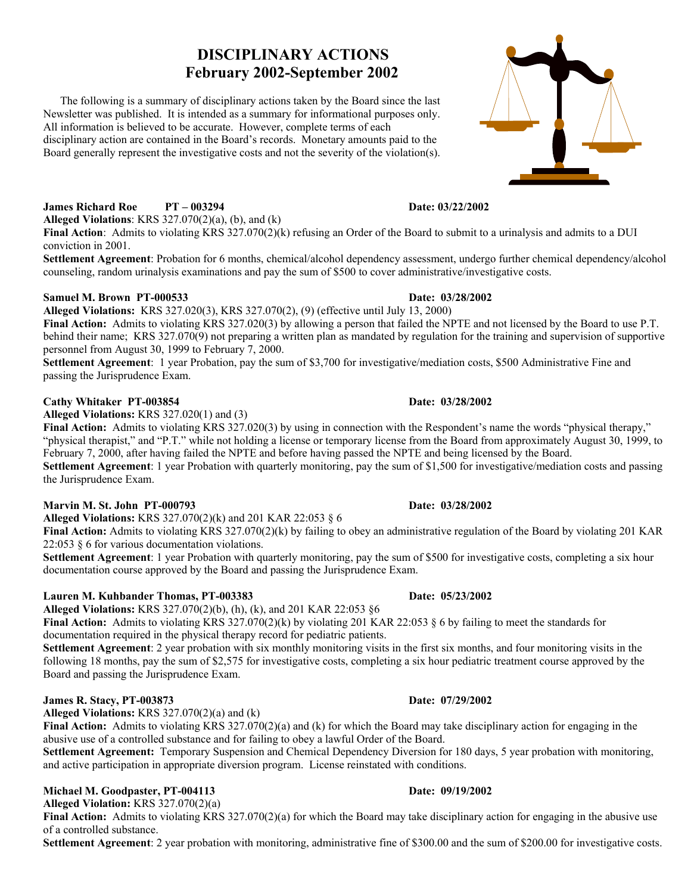# **DISCIPLINARY ACTIONS February 2002-September 2002**

 The following is a summary of disciplinary actions taken by the Board since the last Newsletter was published. It is intended as a summary for informational purposes only. All information is believed to be accurate. However, complete terms of each disciplinary action are contained in the Board's records. Monetary amounts paid to the Board generally represent the investigative costs and not the severity of the violation(s).

**James Richard Roe PT – 003294 Date: 03/22/2002** 

**Alleged Violations**: KRS 327.070(2)(a), (b), and (k)

**Final Action**: Admits to violating KRS 327.070(2)(k) refusing an Order of the Board to submit to a urinalysis and admits to a DUI conviction in 2001.

**Settlement Agreement**: Probation for 6 months, chemical/alcohol dependency assessment, undergo further chemical dependency/alcohol counseling, random urinalysis examinations and pay the sum of \$500 to cover administrative/investigative costs.

#### **Samuel M. Brown PT-000533** Date: 03/28/2002

**Alleged Violations:** KRS 327.020(3), KRS 327.070(2), (9) (effective until July 13, 2000) **Final Action:** Admits to violating KRS 327.020(3) by allowing a person that failed the NPTE and not licensed by the Board to use P.T. behind their name; KRS 327.070(9) not preparing a written plan as mandated by regulation for the training and supervision of supportive personnel from August 30, 1999 to February 7, 2000.

**Settlement Agreement**: 1 year Probation, pay the sum of \$3,700 for investigative/mediation costs, \$500 Administrative Fine and passing the Jurisprudence Exam.

#### **Cathy Whitaker PT-003854 Date: 03/28/2002**

**Alleged Violations:** KRS 327.020(1) and (3)

**Final Action:** Admits to violating KRS 327.020(3) by using in connection with the Respondent's name the words "physical therapy," "physical therapist," and "P.T." while not holding a license or temporary license from the Board from approximately August 30, 1999, to February 7, 2000, after having failed the NPTE and before having passed the NPTE and being licensed by the Board.

**Settlement Agreement**: 1 year Probation with quarterly monitoring, pay the sum of \$1,500 for investigative/mediation costs and passing the Jurisprudence Exam.

### **Marvin M. St. John PT-000793 Date: 03/28/2002**

**Alleged Violations:** KRS 327.070(2)(k) and 201 KAR 22:053 § 6

**Final Action:** Admits to violating KRS 327.070(2)(k) by failing to obey an administrative regulation of the Board by violating 201 KAR 22:053 § 6 for various documentation violations.

**Settlement Agreement**: 1 year Probation with quarterly monitoring, pay the sum of \$500 for investigative costs, completing a six hour documentation course approved by the Board and passing the Jurisprudence Exam.

### **Lauren M. Kuhbander Thomas, PT-003383 Date: 05/23/2002**

**Alleged Violations:** KRS 327.070(2)(b), (h), (k), and 201 KAR 22:053 §6

**Final Action:** Admits to violating KRS 327.070(2)(k) by violating 201 KAR 22:053  $\delta$  6 by failing to meet the standards for documentation required in the physical therapy record for pediatric patients.

**Settlement Agreement**: 2 year probation with six monthly monitoring visits in the first six months, and four monitoring visits in the following 18 months, pay the sum of \$2,575 for investigative costs, completing a six hour pediatric treatment course approved by the Board and passing the Jurisprudence Exam.

### **James R. Stacy, PT-003873 Date: 07/29/2002**

**Alleged Violations:** KRS 327.070(2)(a) and (k)

**Final Action:** Admits to violating KRS 327.070(2)(a) and (k) for which the Board may take disciplinary action for engaging in the abusive use of a controlled substance and for failing to obey a lawful Order of the Board.

**Settlement Agreement:** Temporary Suspension and Chemical Dependency Diversion for 180 days, 5 year probation with monitoring, and active participation in appropriate diversion program. License reinstated with conditions.

### **Michael M. Goodpaster, PT-004113 Date: 09/19/2002**

**Alleged Violation:** KRS 327.070(2)(a)

**Final Action:** Admits to violating KRS 327.070(2)(a) for which the Board may take disciplinary action for engaging in the abusive use of a controlled substance.

**Settlement Agreement**: 2 year probation with monitoring, administrative fine of \$300.00 and the sum of \$200.00 for investigative costs.

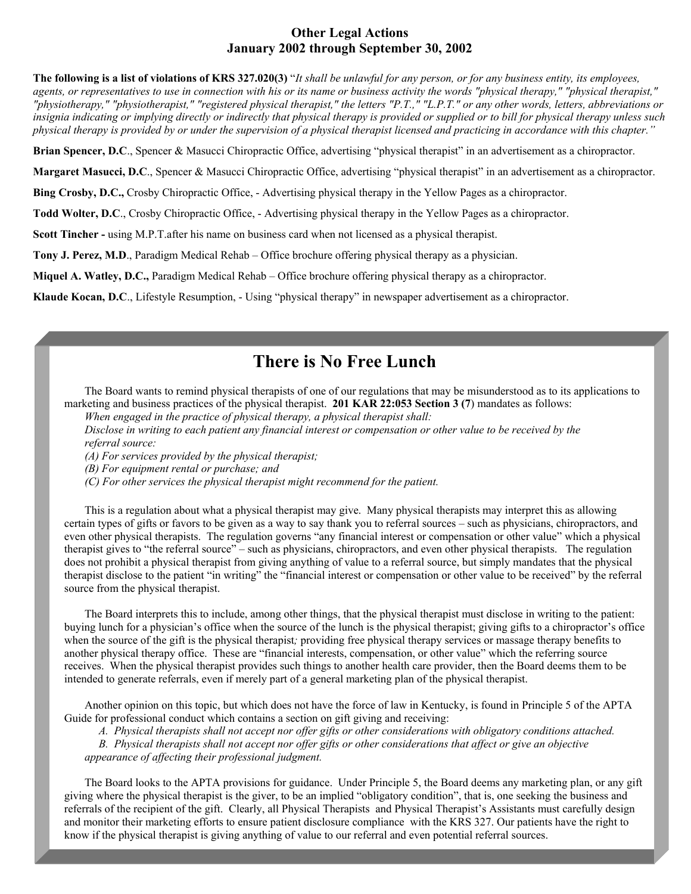### **Other Legal Actions January 2002 through September 30, 2002**

**The following is a list of violations of KRS 327.020(3)** "*It shall be unlawful for any person, or for any business entity, its employees, agents, or representatives to use in connection with his or its name or business activity the words "physical therapy," "physical therapist," "physiotherapy," "physiotherapist," "registered physical therapist," the letters "P.T.," "L.P.T." or any other words, letters, abbreviations or insignia indicating or implying directly or indirectly that physical therapy is provided or supplied or to bill for physical therapy unless such physical therapy is provided by or under the supervision of a physical therapist licensed and practicing in accordance with this chapter."* 

**Brian Spencer, D.C.**, Spencer & Masucci Chiropractic Office, advertising "physical therapist" in an advertisement as a chiropractor.

**Margaret Masucci, D.C**., Spencer & Masucci Chiropractic Office, advertising "physical therapist" in an advertisement as a chiropractor.

**Bing Crosby, D.C.,** Crosby Chiropractic Office, - Advertising physical therapy in the Yellow Pages as a chiropractor.

**Todd Wolter, D.C**., Crosby Chiropractic Office, - Advertising physical therapy in the Yellow Pages as a chiropractor.

**Scott Tincher -** using M.P.T.after his name on business card when not licensed as a physical therapist.

**Tony J. Perez, M.D**., Paradigm Medical Rehab – Office brochure offering physical therapy as a physician.

**Miquel A. Watley, D.C.,** Paradigm Medical Rehab – Office brochure offering physical therapy as a chiropractor.

**Klaude Kocan, D.C**., Lifestyle Resumption, - Using "physical therapy" in newspaper advertisement as a chiropractor.

# **There is No Free Lunch**

 The Board wants to remind physical therapists of one of our regulations that may be misunderstood as to its applications to marketing and business practices of the physical therapist. **201 KAR 22:053 Section 3 (7**) mandates as follows:

*When engaged in the practice of physical therapy, a physical therapist shall:* 

*Disclose in writing to each patient any financial interest or compensation or other value to be received by the referral source:* 

*(A) For services provided by the physical therapist;* 

*(B) For equipment rental or purchase; and* 

*(C) For other services the physical therapist might recommend for the patient.* 

 This is a regulation about what a physical therapist may give. Many physical therapists may interpret this as allowing certain types of gifts or favors to be given as a way to say thank you to referral sources – such as physicians, chiropractors, and even other physical therapists. The regulation governs "any financial interest or compensation or other value" which a physical therapist gives to "the referral source" – such as physicians, chiropractors, and even other physical therapists. The regulation does not prohibit a physical therapist from giving anything of value to a referral source, but simply mandates that the physical therapist disclose to the patient "in writing" the "financial interest or compensation or other value to be received" by the referral source from the physical therapist.

 The Board interprets this to include, among other things, that the physical therapist must disclose in writing to the patient: buying lunch for a physician's office when the source of the lunch is the physical therapist; giving gifts to a chiropractor's office when the source of the gift is the physical therapist*;* providing free physical therapy services or massage therapy benefits to another physical therapy office. These are "financial interests, compensation, or other value" which the referring source receives. When the physical therapist provides such things to another health care provider, then the Board deems them to be intended to generate referrals, even if merely part of a general marketing plan of the physical therapist.

 Another opinion on this topic, but which does not have the force of law in Kentucky, is found in Principle 5 of the APTA Guide for professional conduct which contains a section on gift giving and receiving:

 *A. Physical therapists shall not accept nor offer gifts or other considerations with obligatory conditions attached. B. Physical therapists shall not accept nor offer gifts or other considerations that affect or give an objective appearance of affecting their professional judgment.* 

 The Board looks to the APTA provisions for guidance. Under Principle 5, the Board deems any marketing plan, or any gift giving where the physical therapist is the giver, to be an implied "obligatory condition", that is, one seeking the business and referrals of the recipient of the gift. Clearly, all Physical Therapists and Physical Therapist's Assistants must carefully design and monitor their marketing efforts to ensure patient disclosure compliance with the KRS 327. Our patients have the right to know if the physical therapist is giving anything of value to our referral and even potential referral sources.